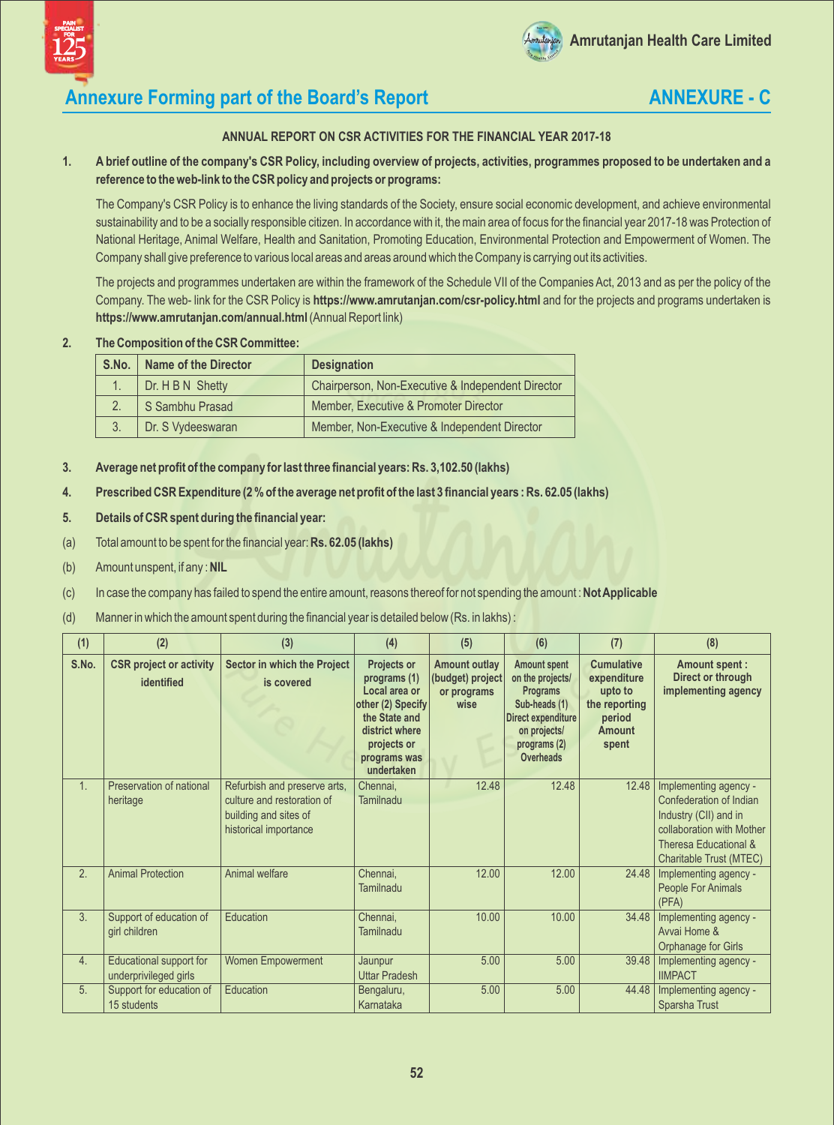



## **Annexure Forming part of the Board's Report <b>ANNEXURE - C**

### **ANNUAL REPORT ON CSR ACTIVITIES FOR THE FINANCIAL YEAR 2017-18**

### **1. A brief outline of the company's CSR Policy, including overview of projects, activities, programmes proposed to be undertaken and a reference to the web-link to the CSRpolicy and projects or programs:**

The Company's CSR Policy is to enhance the living standards of the Society, ensure social economic development, and achieve environmental sustainability and to be a socially responsible citizen. In accordance with it, the main area of focus for the financial year 2017-18 was Protection of National Heritage, Animal Welfare, Health and Sanitation, Promoting Education, Environmental Protection and Empowerment of Women. The Company shall give preference to various local areas and areas around which the Company is carrying out its activities.

The projects and programmes undertaken are within the framework of the Schedule VII of the Companies Act, 2013 and as per the policy of the Company. The web- link for the CSR Policy is **https://www.amrutanjan.com/csr-policy.html** and for the projects and programs undertaken is **https://www.amrutanjan.com/annual.html** (Annual Report link)

#### **2. The Composition of the CSRCommittee:**

| S.No.          | <b>Name of the Director</b> | <b>Designation</b>                                |  |  |  |
|----------------|-----------------------------|---------------------------------------------------|--|--|--|
|                | Dr. H B N Shetty            | Chairperson, Non-Executive & Independent Director |  |  |  |
|                | S Sambhu Prasad             | Member, Executive & Promoter Director             |  |  |  |
| 3 <sub>1</sub> | Dr. S Vydeeswaran           | Member, Non-Executive & Independent Director      |  |  |  |

- **3. Average net profit of the company for last three financial years: Rs. 3,102.50 (lakhs)**
- **4. Prescribed CSRExpenditure (2 % of the average net profit of the last 3 financial years : Rs. 62.05 (lakhs)**
- **5. Details of CSRspent during the financial year:**
- (a) Total amount to be spent for the financial year: **Rs. 62.05 (lakhs)**
- (b) Amount unspent, if any : **NIL**
- (c) In case the company has failed to spend the entire amount, reasons thereof for not spending the amount : **Not Applicable**
- (d) Manner in which the amount spent during the financial year is detailed below (Rs. in lakhs) :

| (1)   | (2)                                              | (3)                                                                                                          | (4)                                                                                                                                                      | (5)                                                             | (6)                                                                                                                                                   | (7)                                                                                              | (8)                                                                                                                                                        |
|-------|--------------------------------------------------|--------------------------------------------------------------------------------------------------------------|----------------------------------------------------------------------------------------------------------------------------------------------------------|-----------------------------------------------------------------|-------------------------------------------------------------------------------------------------------------------------------------------------------|--------------------------------------------------------------------------------------------------|------------------------------------------------------------------------------------------------------------------------------------------------------------|
| S.No. | <b>CSR project or activity</b><br>identified     | Sector in which the Project<br>is covered                                                                    | <b>Projects or</b><br>programs (1)<br>Local area or<br>other (2) Specify<br>the State and<br>district where<br>projects or<br>programs was<br>undertaken | <b>Amount outlay</b><br>(budget) project<br>or programs<br>wise | <b>Amount spent</b><br>on the projects/<br><b>Programs</b><br>Sub-heads (1)<br>Direct expenditure<br>on projects/<br>programs (2)<br><b>Overheads</b> | <b>Cumulative</b><br>expenditure<br>upto to<br>the reporting<br>period<br><b>Amount</b><br>spent | <b>Amount spent:</b><br>Direct or through<br>implementing agency                                                                                           |
| 1.    | Preservation of national<br>heritage             | Refurbish and preserve arts,<br>culture and restoration of<br>building and sites of<br>historical importance | Chennai,<br>Tamilnadu                                                                                                                                    | 12.48                                                           | 12.48                                                                                                                                                 | 12.48                                                                                            | Implementing agency -<br>Confederation of Indian<br>Industry (CII) and in<br>collaboration with Mother<br>Theresa Educational &<br>Charitable Trust (MTEC) |
| 2.    | <b>Animal Protection</b>                         | Animal welfare                                                                                               | Chennai,<br>Tamilnadu                                                                                                                                    | 12.00                                                           | 12.00                                                                                                                                                 | 24.48                                                                                            | Implementing agency -<br>People For Animals<br>(PFA)                                                                                                       |
| 3.    | Support of education of<br>girl children         | Education                                                                                                    | Chennai,<br>Tamilnadu                                                                                                                                    | 10.00                                                           | 10.00                                                                                                                                                 | 34.48                                                                                            | Implementing agency -<br>Avvai Home &<br>Orphanage for Girls                                                                                               |
| 4.    | Educational support for<br>underprivileged girls | <b>Women Empowerment</b>                                                                                     | Jaunpur<br><b>Uttar Pradesh</b>                                                                                                                          | 5.00                                                            | 5.00                                                                                                                                                  | 39.48                                                                                            | Implementing agency -<br><b>IIMPACT</b>                                                                                                                    |
| 5.    | Support for education of<br>15 students          | Education                                                                                                    | Bengaluru,<br>Karnataka                                                                                                                                  | 5.00                                                            | 5.00                                                                                                                                                  | 44.48                                                                                            | Implementing agency -<br>Sparsha Trust                                                                                                                     |